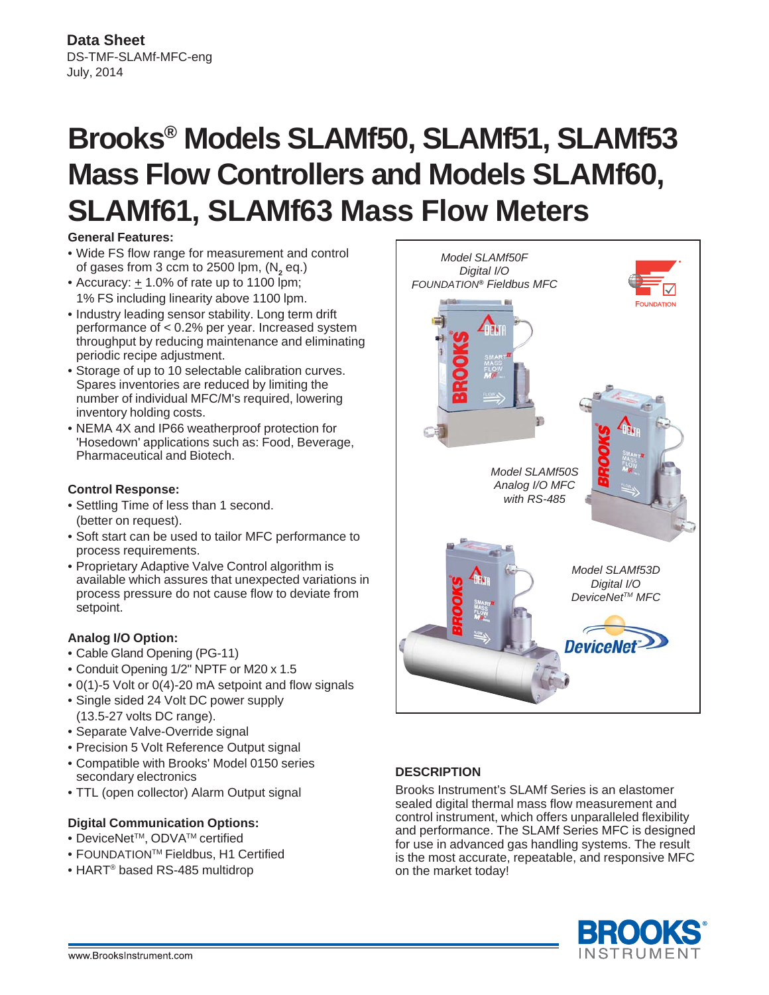# **Brooks® Models SLAMf50, SLAMf51, SLAMf53 Mass Flow Controllers and Models SLAMf60, SLAMf61, SLAMf63 Mass Flow Meters**

# **General Features:**

- Wide FS flow range for measurement and control of gases from 3 ccm to 2500 lpm, (N<sub>2</sub> eq.)
- Accuracy:  $\pm$  1.0% of rate up to 1100 lpm; 1% FS including linearity above 1100 lpm.
- Industry leading sensor stability. Long term drift performance of < 0.2% per year. Increased system throughput by reducing maintenance and eliminating periodic recipe adjustment.
- Storage of up to 10 selectable calibration curves. Spares inventories are reduced by limiting the number of individual MFC/M's required, lowering inventory holding costs.
- NEMA 4X and IP66 weatherproof protection for 'Hosedown' applications such as: Food, Beverage, Pharmaceutical and Biotech.

# **Control Response:**

- Settling Time of less than 1 second. (better on request).
- Soft start can be used to tailor MFC performance to process requirements.
- Proprietary Adaptive Valve Control algorithm is available which assures that unexpected variations in process pressure do not cause flow to deviate from setpoint.

# **Analog I/O Option:**

- Cable Gland Opening (PG-11)
- Conduit Opening 1/2" NPTF or M20 x 1.5
- 0(1)-5 Volt or 0(4)-20 mA setpoint and flow signals
- Single sided 24 Volt DC power supply (13.5-27 volts DC range).
- Separate Valve-Override signal
- Precision 5 Volt Reference Output signal
- Compatible with Brooks' Model 0150 series secondary electronics
- TTL (open collector) Alarm Output signal

# **Digital Communication Options:**

- DeviceNet™, ODVA<sup>™</sup> certified
- FOUNDATIONTM Fieldbus, H1 Certified
- HART® based RS-485 multidrop



# **DESCRIPTION**

Brooks Instrument's SLAMf Series is an elastomer sealed digital thermal mass flow measurement and control instrument, which offers unparalleled flexibility and performance. The SLAMf Series MFC is designed for use in advanced gas handling systems. The result is the most accurate, repeatable, and responsive MFC on the market today!

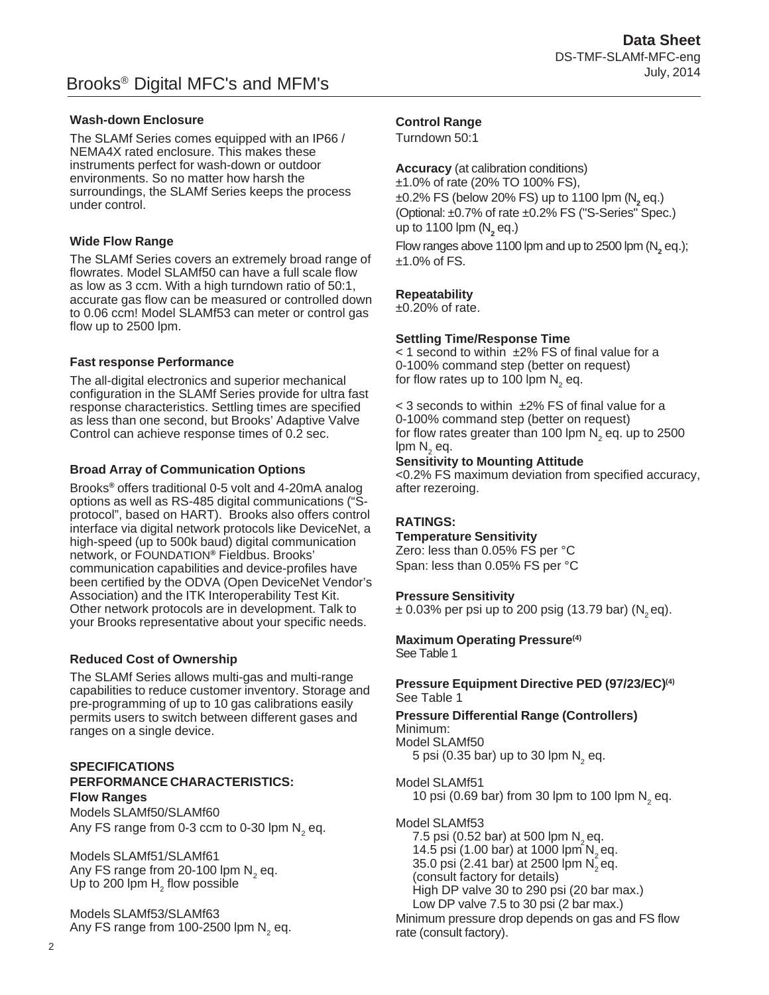# **Wash-down Enclosure**

The SLAMf Series comes equipped with an IP66 / NEMA4X rated enclosure. This makes these instruments perfect for wash-down or outdoor environments. So no matter how harsh the surroundings, the SLAMf Series keeps the process under control.

# **Wide Flow Range**

The SLAMf Series covers an extremely broad range of flowrates. Model SLAMf50 can have a full scale flow as low as 3 ccm. With a high turndown ratio of 50:1, accurate gas flow can be measured or controlled down to 0.06 ccm! Model SLAMf53 can meter or control gas flow up to 2500 lpm.

# **Fast response Performance**

The all-digital electronics and superior mechanical configuration in the SLAMf Series provide for ultra fast response characteristics. Settling times are specified as less than one second, but Brooks' Adaptive Valve Control can achieve response times of 0.2 sec.

# **Broad Array of Communication Options**

Brooks**®** offers traditional 0-5 volt and 4-20mA analog options as well as RS-485 digital communications ("Sprotocol", based on HART). Brooks also offers control interface via digital network protocols like DeviceNet, a high-speed (up to 500k baud) digital communication network, or FOUNDATION**®** Fieldbus. Brooks' communication capabilities and device-profiles have been certified by the ODVA (Open DeviceNet Vendor's Association) and the ITK Interoperability Test Kit. Other network protocols are in development. Talk to your Brooks representative about your specific needs.

# **Reduced Cost of Ownership**

The SLAMf Series allows multi-gas and multi-range capabilities to reduce customer inventory. Storage and pre-programming of up to 10 gas calibrations easily permits users to switch between different gases and ranges on a single device.

# **SPECIFICATIONS PERFORMANCE CHARACTERISTICS: Flow Ranges**

Models SLAMf50/SLAMf60 Any FS range from 0-3 ccm to 0-30 lpm  $\mathsf{N}_{_2}$  eq.

Models SLAMf51/SLAMf61 Any FS range from 20-100 lpm  $N_2$  eq. Up to 200 lpm  $\mathsf{H}_{_2}$  flow possible

Models SLAMf53/SLAMf63 Any FS range from  $100-2500$  lpm N<sub>2</sub> eq.

# **Control Range**

Turndown 50:1

**Accuracy** (at calibration conditions) ±1.0% of rate (20% TO 100% FS), ±0.2% FS (below 20% FS) up to 1100 lpm (N<sub>2</sub> eq.) (Optional: ±0.7% of rate ±0.2% FS ("S-Series" Spec.) up to 1100 lpm (N<sub>2</sub> eq.)

Flow ranges above 1100 lpm and up to 2500 lpm (N<sub>2</sub> eq.);  $±1.0\%$  of FS.

# **Repeatability**

 $\pm 0.20\%$  of rate.

# **Settling Time/Response Time**

 $<$  1 second to within  $\pm$ 2% FS of final value for a 0-100% command step (better on request) for flow rates up to 100 lpm  $\mathsf{N}_{_2}$  eq.

 $<$  3 seconds to within  $\pm$ 2% FS of final value for a 0-100% command step (better on request) for flow rates greater than 100 lpm  $\mathsf{N}_2$  eq. up to 2500 lpm  $\mathsf{N}_{2}$  eq.

# **Sensitivity to Mounting Attitude**

<0.2% FS maximum deviation from specified accuracy, after rezeroing.

# **RATINGS:**

**Temperature Sensitivity** Zero: less than 0.05% FS per °C

Span: less than 0.05% FS per °C

# **Pressure Sensitivity**

 $\pm$  0.03% per psi up to 200 psig (13.79 bar) (N<sub>2</sub> eq).

# **Maximum Operating Pressure(4)**

See Table 1

# **Pressure Equipment Directive PED (97/23/EC)(4)** See Table 1

**Pressure Differential Range (Controllers)** Minimum: Model SLAMf50

5 psi (0.35 bar) up to 30 lpm  $N<sub>2</sub>$  eq.

Model SLAMf51 10 psi (0.69 bar) from 30 lpm to 100 lpm  $N_{2}$  eq.

Model SLAMf53 7.5 psi (0.52 bar) at 500 lpm  $N_{2}$  eq. 14.5 psi (1.00 bar) at 1000 lpm  $N_{2}$  eq. 35.0 psi  $(2.41 \text{ bar})$  at 2500 lpm  $N$ <sub>2</sub> eq. (consult factory for details) High DP valve 30 to 290 psi (20 bar max.) Low DP valve 7.5 to 30 psi (2 bar max.)

Minimum pressure drop depends on gas and FS flow rate (consult factory).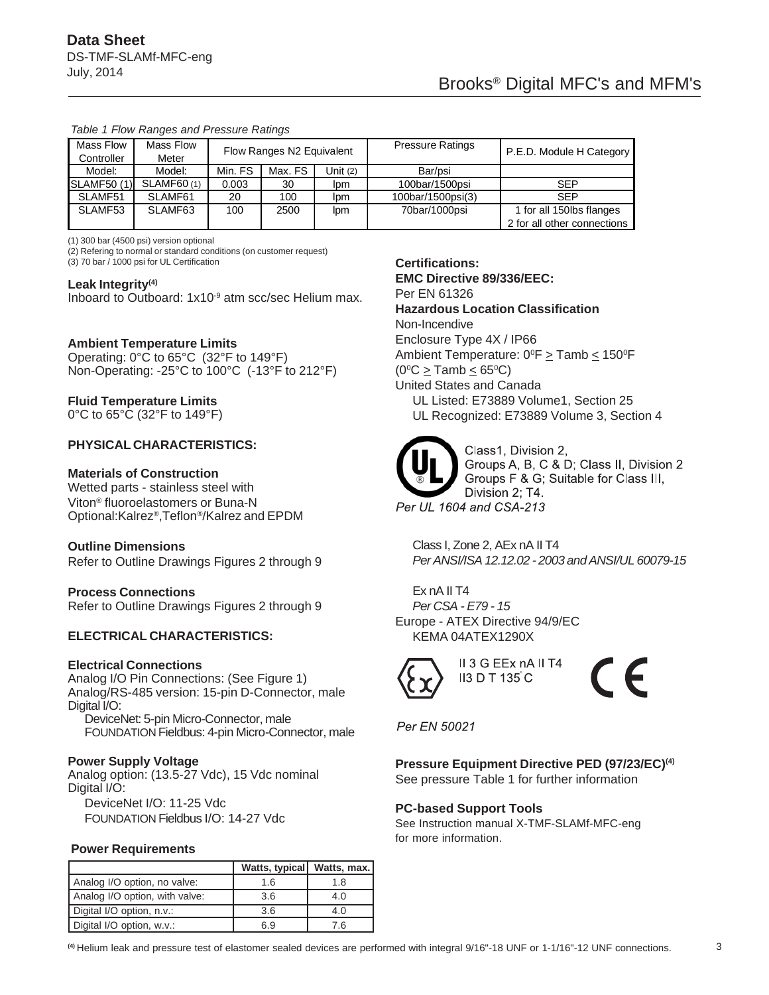| Mass Flow<br>Controller | Mass Flow<br>Meter | Flow Ranges N2 Equivalent |         |          | <b>Pressure Ratings</b> | P.E.D. Module H Category    |
|-------------------------|--------------------|---------------------------|---------|----------|-------------------------|-----------------------------|
|                         |                    |                           |         |          |                         |                             |
| Model:                  | Model:             | Min. FS                   | Max. FS | Unit (2) | Bar/psi                 |                             |
| <b>SLAMF50 (1)</b>      | <b>SLAMF60(1)</b>  | 0.003                     | 30      | lpm      | 100bar/1500psi          | SEP                         |
| SLAMF51                 | SLAMF61            | 20                        | 100     | lpm      | 100bar/1500psi(3)       | <b>SEP</b>                  |
| SLAMF53                 | SLAMF63            | 100                       | 2500    | lpm      | 70bar/1000psi           | 1 for all 150lbs flanges    |
|                         |                    |                           |         |          |                         | 2 for all other connections |

#### *Table 1 Flow Ranges and Pressure Ratings*

(1) 300 bar (4500 psi) version optional

(2) Refering to normal or standard conditions (on customer request)

(3) 70 bar / 1000 psi for UL Certification

#### **Leak Integrity(4)**

Inboard to Outboard: 1x10<sup>-9</sup> atm scc/sec Helium max.

#### **Ambient Temperature Limits**

Operating: 0°C to 65°C (32°F to 149°F) Non-Operating: -25°C to 100°C (-13°F to 212°F)

# **Fluid Temperature Limits**

0°C to 65°C (32°F to 149°F)

# **PHYSICAL CHARACTERISTICS:**

#### **Materials of Construction**

Wetted parts - stainless steel with Viton® fluoroelastomers or Buna-N Optional:Kalrez®,Teflon®/Kalrez and EPDM

#### **Outline Dimensions**

Refer to Outline Drawings Figures 2 through 9

#### **Process Connections**

Refer to Outline Drawings Figures 2 through 9

### **ELECTRICAL CHARACTERISTICS:**

#### **Electrical Connections**

Analog I/O Pin Connections: (See Figure 1) Analog/RS-485 version: 15-pin D-Connector, male Digital I/O:

DeviceNet: 5-pin Micro-Connector, male FOUNDATION Fieldbus: 4-pin Micro-Connector, male

#### **Power Supply Voltage**

Analog option: (13.5-27 Vdc), 15 Vdc nominal Digital I/O:

DeviceNet I/O: 11-25 Vdc FOUNDATION Fieldbus I/O: 14-27 Vdc

### **Power Requirements**

|                                | Watts, typical   Watts, max. |     |
|--------------------------------|------------------------------|-----|
| Analog I/O option, no valve:   | 1.6                          | 1.8 |
| Analog I/O option, with valve: | 3.6                          | 4.0 |
| Digital I/O option, n.v.:      | 3.6                          | 4.0 |
| Digital I/O option, w.v.:      | 6.9                          | 7.6 |

#### **Certifications:**

**EMC Directive 89/336/EEC:** Per EN 61326

#### **Hazardous Location Classification**

Non-Incendive

#### Enclosure Type 4X / IP66

Ambient Temperature: 0°F > Tamb < 150°F  $(0^{\circ}C \geq$  Tamb  $\leq 65^{\circ}C)$ United States and Canada UL Listed: E73889 Volume1, Section 25

UL Recognized: E73889 Volume 3, Section 4



Class1, Division 2, Groups A, B, C & D; Class II, Division 2 Groups F & G; Suitable for Class III, Division 2; T4. Per UL 1604 and CSA-213

Class I, Zone 2, AEx nA II T4 *Per ANSI/ISA 12.12.02 - 2003 and ANSI/UL 60079-15*

Ex nA II T4 *Per CSA - E79 - 15* Europe - ATEX Directive 94/9/EC KEMA 04ATEX1290X



 $\epsilon$ 

Per EN 50021

# **Pressure Equipment Directive PED (97/23/EC)(4)**

See pressure Table 1 for further information

II 3 G EEx nA II T4

**II3 D T 135 C** 

#### **PC-based Support Tools**

See Instruction manual X-TMF-SLAMf-MFC-eng for more information.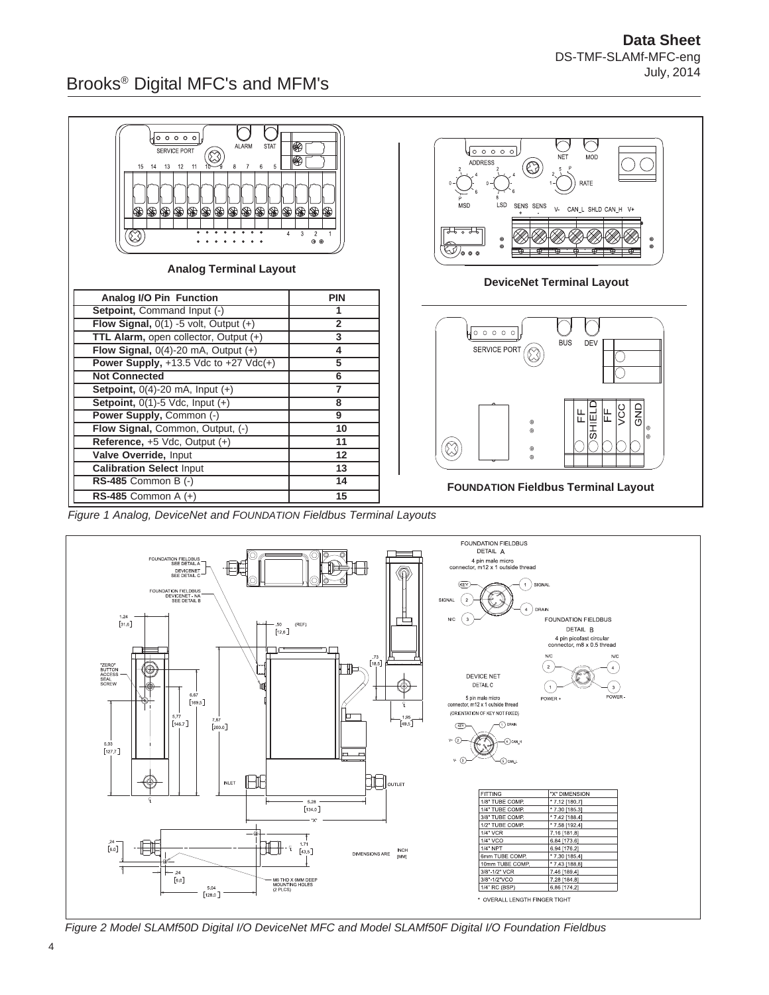# Brooks® Digital MFC's and MFM's



*Figure 1 Analog, DeviceNet and FOUNDATION Fieldbus Terminal Layouts*



*Figure 2 Model SLAMf50D Digital I/O DeviceNet MFC and Model SLAMf50F Digital I/O Foundation Fieldbus*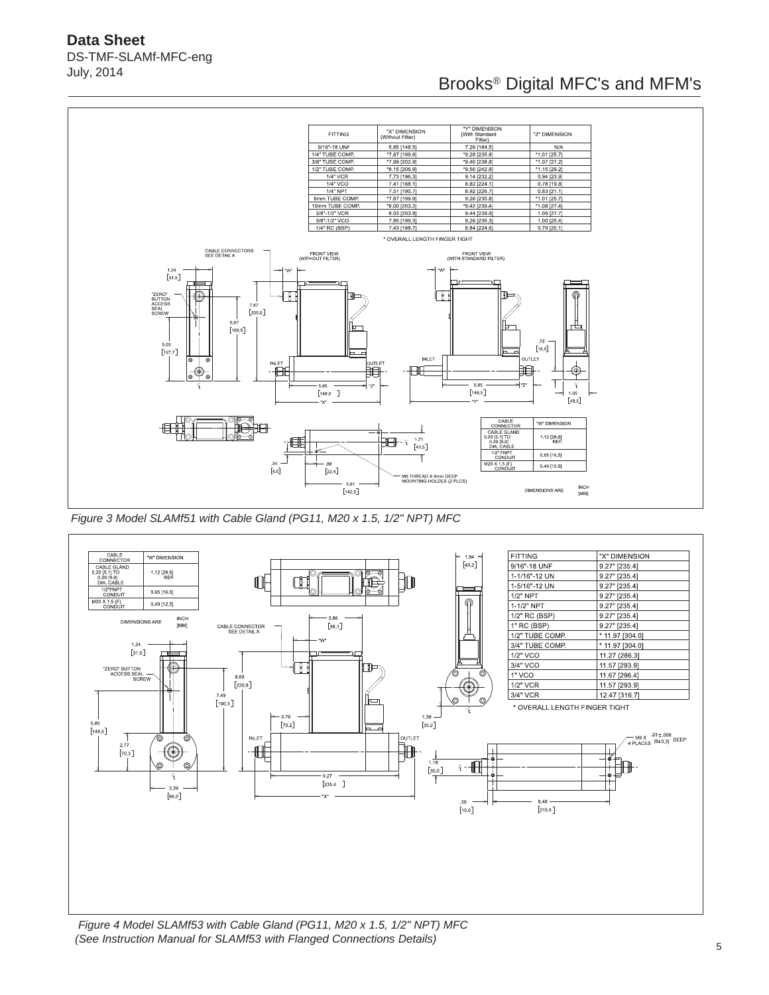**Data Sheet** DS-TMF-SLAMf-MFC-eng July, 2014

# Brooks® Digital MFC's and MFM's



 *Figure 3 Model SLAMf51 with Cable Gland (PG11, M20 x 1.5, 1/2" NPT) MFC*



 *Figure 4 Model SLAMf53 with Cable Gland (PG11, M20 x 1.5, 1/2" NPT) MFC (See Instruction Manual for SLAMf53 with Flanged Connections Details)*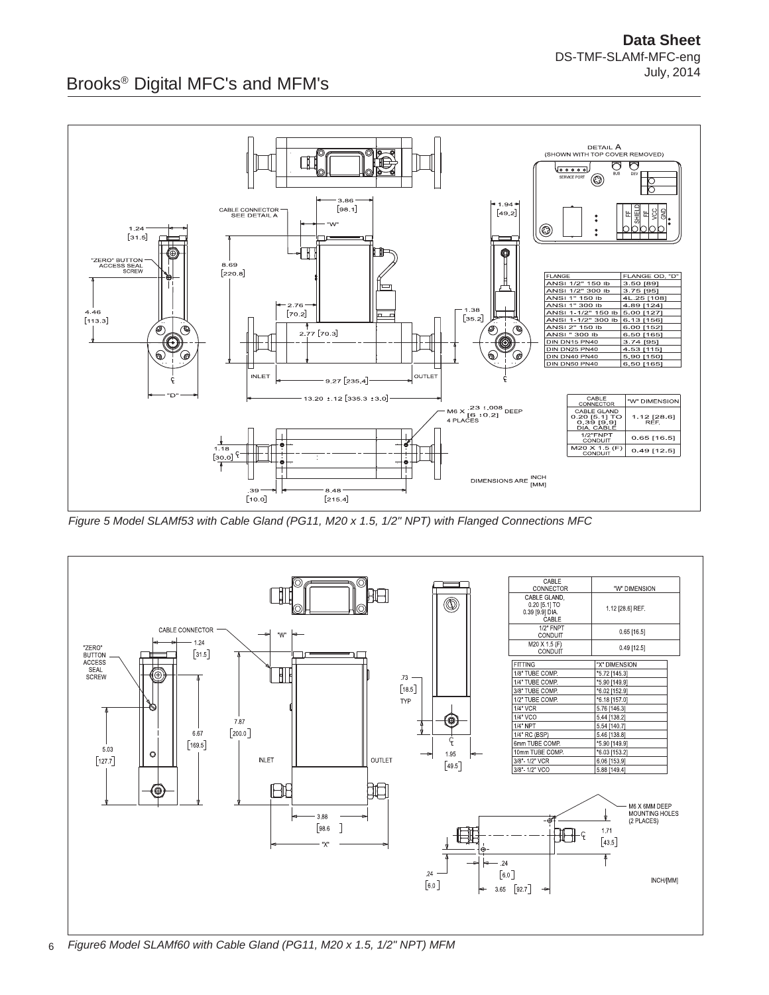

*Figure 5 Model SLAMf53 with Cable Gland (PG11, M20 x 1.5, 1/2" NPT) with Flanged Connections MFC*

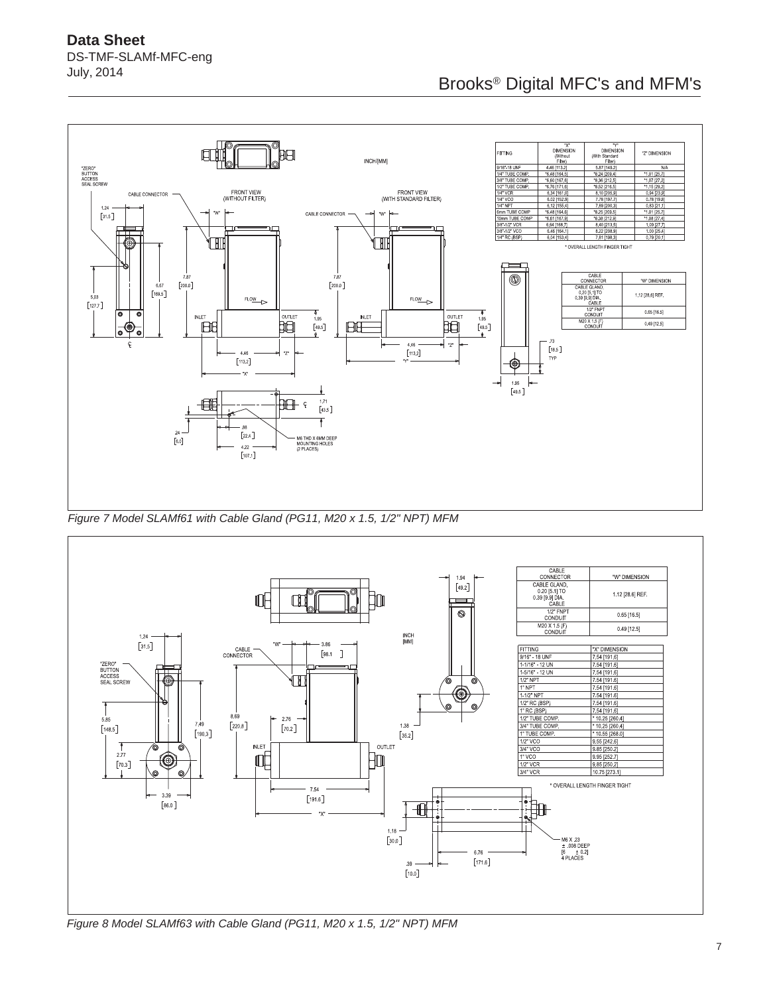

*Figure 7 Model SLAMf61 with Cable Gland (PG11, M20 x 1.5, 1/2" NPT) MFM*



*Figure 8 Model SLAMf63 with Cable Gland (PG11, M20 x 1.5, 1/2" NPT) MFM*